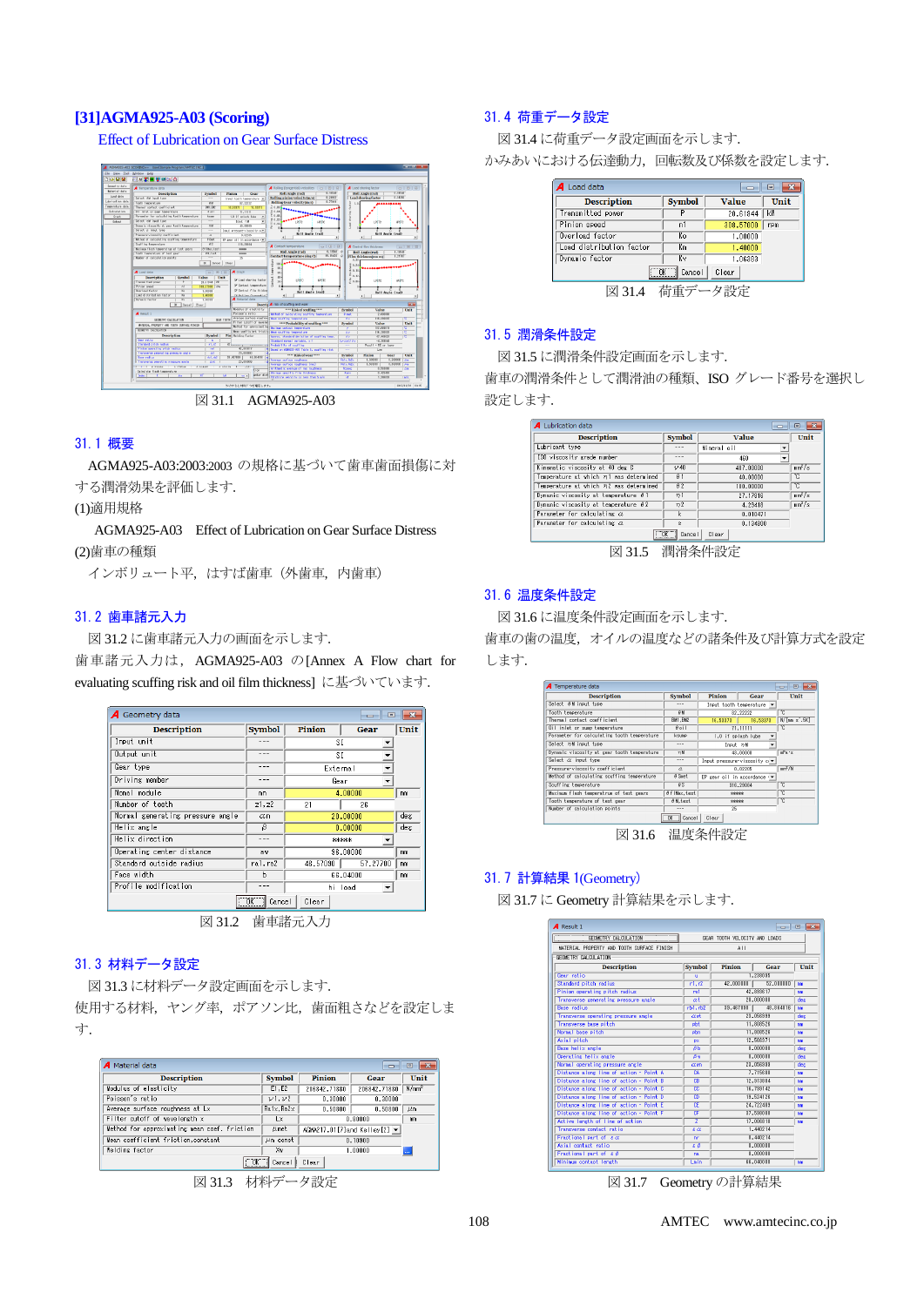# **[31]AGMA925-A03 (Scoring)**

Effect of Lubrication on Gear Surface Distress



図 31.1 AGMA925-A03

#### 31.1 概要

AGMA925-A03:2003:2003 の規格に基づいて歯車歯面損傷に対 する潤滑効果を評価します.

(1)適用規格

 AGMA925-A03 Effect of Lubrication on Gear Surface Distress (2)歯車の種類

インボリュート平,はすげ歯車(外歯車,内歯車)

#### 31.2 歯車諸元入力

図 31.2 に歯車諸元入力の画面を示します.

歯車諸元入力は, AGMA925-A03 の[Annex A Flow chart for evaluating scuffing risk and oil film thickness]に基づいています.

| A Geometry data<br>▣<br>---       |               |                      |      |  |  |
|-----------------------------------|---------------|----------------------|------|--|--|
| <b>Description</b>                | <b>Symbol</b> | Pinion<br>Gear       | Unit |  |  |
| Input unit                        | $- - -$       | ST.                  |      |  |  |
| Output unit                       | $- - -$       | SΙ                   |      |  |  |
| Gear type                         | $- - -$       | External             |      |  |  |
| Driving member                    | $- - -$       | Gear                 |      |  |  |
| Nomal module                      | mn            | 4.00000              | mm   |  |  |
| Number of teeth                   | 21.22         | 21<br>26             |      |  |  |
| Normal generating pressure angle  | $\alpha$ n    | 20,00000             | deg  |  |  |
| Helix angle                       | β             | 0.00000              | deg  |  |  |
| Helix direction                   | $- - -$       | *****                |      |  |  |
| Operating center distance         | aw            | 96.00000             | mm   |  |  |
| Standard outside radius           | ral.ra2       | 57.27700<br>46.57090 | mm   |  |  |
| Face width                        | ь             | 66,04000             | mm   |  |  |
| Profile modification              |               | hi load              |      |  |  |
| $\overline{a}$<br>Clear<br>Cancel |               |                      |      |  |  |

図 31.2 歯車諸元入力

#### 31.3 材料データ設定

図 31.3 に材料データ設定画面を示します.

使用する材料,ヤング率,ポアソン比,歯面粗さなどを設定しま す.

| <b>Description</b>                           | <b>Symbol</b> | Pinion                                           | Gear         | Unit              |
|----------------------------------------------|---------------|--------------------------------------------------|--------------|-------------------|
| Modulus of elasticity                        | E1.E2         | 206842.71880                                     | 206842.71880 | N/mm <sup>2</sup> |
| Poisson's ratio                              | v1.v2         | 0.30000                                          | 0.30000      |                   |
| Average surface roughness at Lx              | Ra1x, Ra2x    | 0.50800<br>0.50800                               |              | 丛鱼                |
| Filter cutoff of wavelength x                | Lx            | 0.80000                                          |              | mm                |
| Method for approximating mean coef, friction | Mmet          | AGMA217.01[7] and Kelley[2] $\blacktriangledown$ |              |                   |
| Mean coefficient friction, constant          | $\mu$ m const | 0.10900                                          |              |                   |
| Welding factor                               | Хw            | 1,00000                                          |              |                   |

図 31.3 材料データ設定

# 31.4 荷重データ設定

図 31.4 に荷重データ設定画面を示します.

かみあいにおける伝達動力,回転数及び係数を設定します.

| A Load data<br>同         |               |              |      |  |  |  |
|--------------------------|---------------|--------------|------|--|--|--|
| <b>Description</b>       | <b>Symbol</b> | <b>Value</b> | Unit |  |  |  |
| Transmitted power        |               | 20.61944     | l k₩ |  |  |  |
| Pinion speed             | n1            | 308,57000    | rpm  |  |  |  |
| Overload factor          | Кo            | 1,00000      |      |  |  |  |
| Load distribution factor | Km            | 1.40000      |      |  |  |  |
| Dynamic factor           | K٧            | 1,06383      |      |  |  |  |
| "TIK"<br>Clear<br>Cancel |               |              |      |  |  |  |

図 31.4 荷重データ設定

## 31.5 潤滑条件設定

図 31.5 に潤滑条件設定画面を示します.

歯車の潤滑条件として潤滑油の種類、ISO グレード番号を選択し 設定します.

| A Lubrication data<br>回                     |                       |                                 |                    |  |  |  |
|---------------------------------------------|-----------------------|---------------------------------|--------------------|--|--|--|
| <b>Description</b>                          | <b>Symbol</b>         | Value                           | Unit               |  |  |  |
| Lubricant type                              | $- - -$               | Mineral oil                     |                    |  |  |  |
| ISO viscosity grade number                  | $- - -$               | 460<br>$\overline{\phantom{a}}$ |                    |  |  |  |
| Kinematic viscosity at 40 deg C             | 2/40                  | 407,00000                       | nm <sup>2</sup> /s |  |  |  |
| Temperature at which 71 was determined      | $\theta$ 1            | 40,00000                        | °C                 |  |  |  |
| Temperature at which 22 was determined      | $\theta$ <sub>2</sub> | 100.00000                       | °C                 |  |  |  |
| Dynamic viscosity at temperature $\theta$ 1 | n <sub>1</sub>        | 27.17816                        | $nm^2/s$           |  |  |  |
| Dynamic viscosity at temperature $\theta$ 2 | n2                    | 4.29418                         | $nm^2/s$           |  |  |  |
| Parameter for calculating as                | k                     | 0.010471                        |                    |  |  |  |
| Parameter for calculating as                | $\mathbf{\hat{z}}$    | 0.134800                        |                    |  |  |  |
| $-0K$<br>Clear<br>Cancel                    |                       |                                 |                    |  |  |  |
| 淜鸿久研弛宁<br>ΔVΙ<br>21                         |                       |                                 |                    |  |  |  |

図 31.5 潤滑条件設定

#### 31.6 温度条件設定

図 31.6 に温度条件設定画面を示します. 歯車の歯の温度,オイルの温度などの諸条件及び計算方式を設定 します.

| <b>Description</b>                          | <b>Symbol</b>    | Pinion                               | Gear                          | Unit                      |
|---------------------------------------------|------------------|--------------------------------------|-------------------------------|---------------------------|
|                                             |                  |                                      |                               |                           |
| Select 0M input type                        | $- - -$          |                                      | Input tooth temperature =     |                           |
| Tooth temperature                           | H                |                                      | 82.22222                      | T.                        |
| Themal contact coefficient                  | BM1.BW2          | 16,53373                             | 16,53373                      | $N$ [nm $\epsilon$ $5K$ ] |
| Oil inlet or sump temperature               | $\theta$ nil     | 71.11111                             |                               | ឃ                         |
| Parameter for calculating tooth temperature | ksunp            | 1.0 if splash lube<br>$\overline{ }$ |                               |                           |
| Select 7H input type                        | $- - -$          | $\overline{\phantom{a}}$<br>Input 2M |                               |                           |
| Dynamic viscosity at gear tooth temperature | 20H              | 43.00000                             |                               | nPa.s                     |
| Select a input type                         | $- - -$          | Input pressure-viscosity o -         |                               |                           |
| Pressure-viscosity coefficient              | α                | 0.02205                              |                               | nm <sup>2</sup> /N        |
| Method of calculating scuffing temperature  | $\theta$ Spet    |                                      | EP sear oil in accordance · • |                           |
| Scuffing temperature                        | $\overline{A}$   | 316.29084                            |                               | ឃ                         |
| Maximum flash temperatrue of test gears     | Of IMax, test    | 5081008                              |                               | ℃                         |
| Tooth temperature of test gear              | $\theta$ M. test | 5588568                              |                               | ℃                         |
| Number of calculation points                | $- - -$          | 25                                   |                               |                           |

図 31.6 温度条件設定

## 31.7 計算結果 1(Geometry)

図 31.7 に Geometry 計算結果を示します.



図 31.7 Geometry の計算結果

108 AMTEC www.amtecinc.co.jp